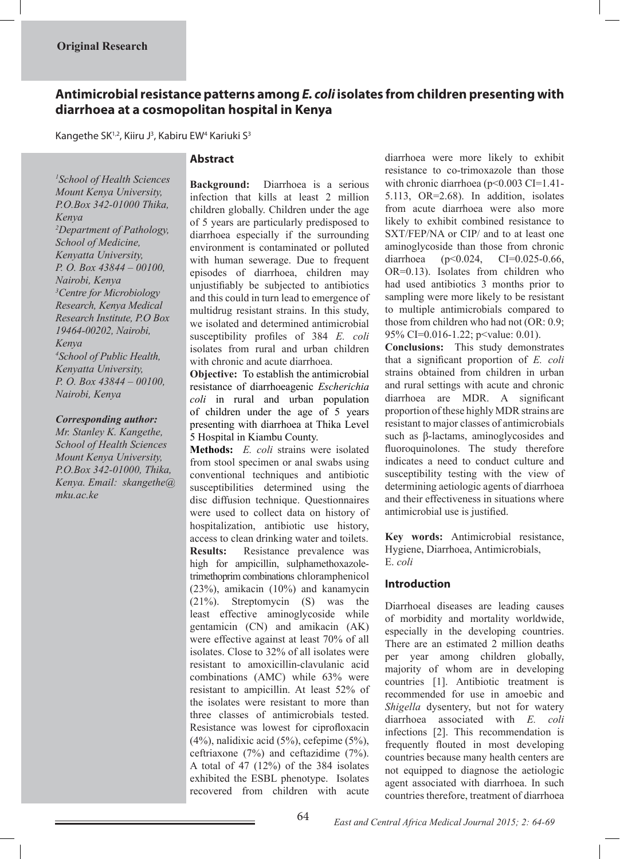# **Antimicrobial resistance patterns among** *E. coli* **isolates from children presenting with diarrhoea at a cosmopolitan hospital in Kenya**

Kangethe SK<sup>1,2</sup>, Kiiru J<sup>3</sup>, Kabiru EW<sup>4</sup> Kariuki S<sup>3</sup>

### **Abstract**

*1 School of Health Sciences Mount Kenya University, P.O.Box 342-01000 Thika, Kenya 2 Department of Pathology, School of Medicine, Kenyatta University, P. O. Box 43844 – 00100, Nairobi, Kenya 3 Centre for Microbiology Research, Kenya Medical Research Institute, P.O Box 19464-00202, Nairobi, Kenya 4 School of Public Health, Kenyatta University, P. O. Box 43844 – 00100, Nairobi, Kenya*

### *Corresponding author:*

*Mr. Stanley K. Kangethe, School of Health Sciences Mount Kenya University, P.O.Box 342-01000, Thika, Kenya. Email: skangethe@ mku.ac.ke*

**Background:** Diarrhoea is a serious infection that kills at least 2 million children globally. Children under the age of 5 years are particularly predisposed to diarrhoea especially if the surrounding environment is contaminated or polluted with human sewerage. Due to frequent episodes of diarrhoea, children may unjustifiably be subjected to antibiotics and this could in turn lead to emergence of multidrug resistant strains. In this study, we isolated and determined antimicrobial susceptibility profiles of 384 *E. coli* isolates from rural and urban children with chronic and acute diarrhoea.

**Objective:** To establish the antimicrobial resistance of diarrhoeagenic *Escherichia coli* in rural and urban population of children under the age of 5 years presenting with diarrhoea at Thika Level 5 Hospital in Kiambu County.

**Methods:** *E. coli* strains were isolated from stool specimen or anal swabs using conventional techniques and antibiotic susceptibilities determined using the disc diffusion technique. Questionnaires were used to collect data on history of hospitalization, antibiotic use history, access to clean drinking water and toilets. **Results:** Resistance prevalence was high for ampicillin, sulphamethoxazoletrimethoprim combinations chloramphenicol (23%), amikacin (10%) and kanamycin (21%). Streptomycin (S) was the least effective aminoglycoside while gentamicin (CN) and amikacin (AK) were effective against at least 70% of all isolates. Close to 32% of all isolates were resistant to amoxicillin-clavulanic acid combinations (AMC) while 63% were resistant to ampicillin. At least 52% of the isolates were resistant to more than three classes of antimicrobials tested. Resistance was lowest for ciprofloxacin (4%), nalidixic acid (5%), cefepime (5%), ceftriaxone (7%) and ceftazidime (7%). A total of 47 (12%) of the 384 isolates exhibited the ESBL phenotype. Isolates recovered from children with acute

diarrhoea were more likely to exhibit resistance to co-trimoxazole than those with chronic diarrhoea (p<0.003 CI=1.41-5.113, OR=2.68). In addition, isolates from acute diarrhoea were also more likely to exhibit combined resistance to SXT/FEP/NA or CIP/ and to at least one aminoglycoside than those from chronic diarrhoea (p<0.024, CI=0.025-0.66, OR=0.13). Isolates from children who had used antibiotics 3 months prior to sampling were more likely to be resistant to multiple antimicrobials compared to those from children who had not (OR: 0.9; 95% CI=0.016-1.22; p<value: 0.01).

**Conclusions:** This study demonstrates that a significant proportion of *E. coli* strains obtained from children in urban and rural settings with acute and chronic diarrhoea are MDR. A significant proportion of these highly MDR strains are resistant to major classes of antimicrobials such as β-lactams, aminoglycosides and fluoroquinolones. The study therefore indicates a need to conduct culture and susceptibility testing with the view of determining aetiologic agents of diarrhoea and their effectiveness in situations where antimicrobial use is justified.

**Key words:** Antimicrobial resistance, Hygiene, Diarrhoea, Antimicrobials, E. *coli*

### **Introduction**

Diarrhoeal diseases are leading causes of morbidity and mortality worldwide, especially in the developing countries. There are an estimated 2 million deaths per year among children globally, majority of whom are in developing countries [1]. Antibiotic treatment is recommended for use in amoebic and *Shigella* dysentery, but not for watery diarrhoea associated with *E. coli* infections [2]. This recommendation is frequently flouted in most developing countries because many health centers are not equipped to diagnose the aetiologic agent associated with diarrhoea. In such countries therefore, treatment of diarrhoea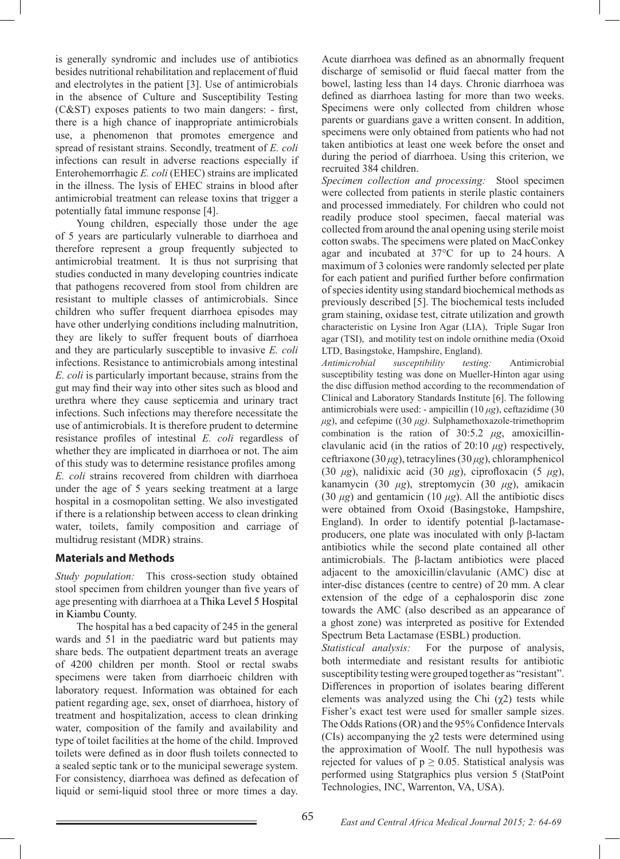is generally syndromic and includes use of antibiotics besides nutritional rehabilitation and replacement of fluid and electrolytes in the patient [3]. Use of antimicrobials in the absence of Culture and Susceptibility Testing (C&ST) exposes patients to two main dangers: - first, there is a high chance of inappropriate antimicrobials use, a phenomenon that promotes emergence and spread of resistant strains. Secondly, treatment of *E. coli* infections can result in adverse reactions especially if Enterohemorrhagic *E. coli* (EHEC) strains are implicated in the illness. The lysis of EHEC strains in blood after antimicrobial treatment can release toxins that trigger a potentially fatal immune response [4].

 Young children, especially those under the age of 5 years are particularly vulnerable to diarrhoea and therefore represent a group frequently subjected to antimicrobial treatment. It is thus not surprising that studies conducted in many developing countries indicate that pathogens recovered from stool from children are resistant to multiple classes of antimicrobials. Since children who suffer frequent diarrhoea episodes may have other underlying conditions including malnutrition, they are likely to suffer frequent bouts of diarrhoea and they are particularly susceptible to invasive *E. coli* infections. Resistance to antimicrobials among intestinal *E. coli* is particularly important because, strains from the gut may find their way into other sites such as blood and urethra where they cause septicemia and urinary tract infections. Such infections may therefore necessitate the use of antimicrobials. It is therefore prudent to determine resistance profiles of intestinal *E. coli* regardless of whether they are implicated in diarrhoea or not. The aim of this study was to determine resistance profiles among *E. coli* strains recovered from children with diarrhoea under the age of 5 years seeking treatment at a large hospital in a cosmopolitan setting. We also investigated if there is a relationship between access to clean drinking water, toilets, family composition and carriage of multidrug resistant (MDR) strains.

### **Materials and Methods**

*Study population:* This cross-section study obtained stool specimen from children younger than five years of age presenting with diarrhoea at a Thika Level 5 Hospital in Kiambu County.

 The hospital has a bed capacity of 245 in the general wards and 51 in the paediatric ward but patients may share beds. The outpatient department treats an average of 4200 children per month. Stool or rectal swabs specimens were taken from diarrhoeic children with laboratory request. Information was obtained for each patient regarding age, sex, onset of diarrhoea, history of treatment and hospitalization, access to clean drinking water, composition of the family and availability and type of toilet facilities at the home of the child. Improved toilets were defined as in door flush toilets connected to a sealed septic tank or to the municipal sewerage system. For consistency, diarrhoea was defined as defecation of liquid or semi-liquid stool three or more times a day.

Acute diarrhoea was defined as an abnormally frequent discharge of semisolid or fluid faecal matter from the bowel, lasting less than 14 days. Chronic diarrhoea was defined as diarrhoea lasting for more than two weeks. Specimens were only collected from children whose parents or guardians gave a written consent. In addition, specimens were only obtained from patients who had not taken antibiotics at least one week before the onset and during the period of diarrhoea. Using this criterion, we recruited 384 children.

*Specimen collection and processing:* Stool specimen were collected from patients in sterile plastic containers and processed immediately. For children who could not readily produce stool specimen, faecal material was collected from around the anal opening using sterile moist cotton swabs. The specimens were plated on MacConkey agar and incubated at 37°C for up to 24 hours. A maximum of 3 colonies were randomly selected per plate for each patient and purified further before confirmation of species identity using standard biochemical methods as previously described [5]. The biochemical tests included gram staining, oxidase test, citrate utilization and growth characteristic on Lysine Iron Agar (LIA), Triple Sugar Iron agar (TSI), and motility test on indole ornithine media (Oxoid LTD, Basingstoke, Hampshire, England).

*Antimicrobial susceptibility testing:* Antimicrobial susceptibility testing was done on Mueller-Hinton agar using the disc diffusion method according to the recommendation of Clinical and Laboratory Standards Institute [6]. The following antimicrobials were used: - ampicillin (10 *μg*), ceftazidime (30 *μg*), and cefepime ((30 *μg).* Sulphamethoxazole-trimethoprim combination is the ration of 30:5.2 *μg*, amoxicillinclavulanic acid (in the ratios of 20:10 *μg*) respectively, ceftriaxone (30 *μg*), tetracylines (30 *μg*), chloramphenicol (30 *μg*), nalidixic acid (30 *μg*), ciprofloxacin (5 *μg*), kanamycin (30 *μg*), streptomycin (30 *μg*), amikacin (30  $\mu$ g) and gentamicin (10  $\mu$ g). All the antibiotic discs were obtained from Oxoid (Basingstoke, Hampshire, England). In order to identify potential β-lactamaseproducers, one plate was inoculated with only β-lactam antibiotics while the second plate contained all other antimicrobials. The β-lactam antibiotics were placed adjacent to the amoxicillin/clavulanic (AMC) disc at inter-disc distances (centre to centre) of 20 mm. A clear extension of the edge of a cephalosporin disc zone towards the AMC (also described as an appearance of a ghost zone) was interpreted as positive for Extended Spectrum Beta Lactamase (ESBL) production.

*Statistical analysis:* For the purpose of analysis, both intermediate and resistant results for antibiotic susceptibility testing were grouped together as "resistant". Differences in proportion of isolates bearing different elements was analyzed using the Chi  $(\gamma 2)$  tests while Fisher's exact test were used for smaller sample sizes. The Odds Rations (OR) and the 95% Confidence Intervals (CIs) accompanying the  $\chi$ 2 tests were determined using the approximation of Woolf. The null hypothesis was rejected for values of  $p \ge 0.05$ . Statistical analysis was performed using Statgraphics plus version 5 (StatPoint Technologies, INC, Warrenton, VA, USA).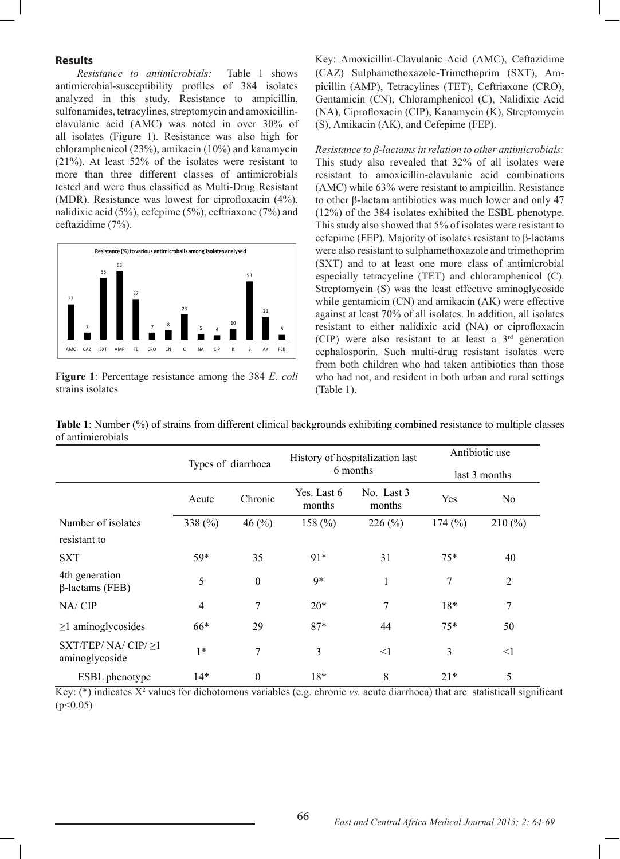#### **Results**

*Resistance to antimicrobials:* Table 1 shows antimicrobial-susceptibility profiles of 384 isolates analyzed in this study. Resistance to ampicillin, sulfonamides, tetracylines, streptomycin and amoxicillinclavulanic acid (AMC) was noted in over 30% of all isolates (Figure 1). Resistance was also high for chloramphenicol (23%), amikacin (10%) and kanamycin (21%). At least 52% of the isolates were resistant to more than three different classes of antimicrobials tested and were thus classified as Multi-Drug Resistant (MDR). Resistance was lowest for ciprofloxacin (4%), nalidixic acid (5%), cefepime (5%), ceftriaxone (7%) and ceftazidime (7%).



**Figure 1**: Percentage resistance among the 384 *E. coli* strains isolates

Key: Amoxicillin-Clavulanic Acid (AMC), Ceftazidime (CAZ) Sulphamethoxazole-Trimethoprim (SXT), Ampicillin (AMP), Tetracylines (TET), Ceftriaxone (CRO), Gentamicin (CN), Chloramphenicol (C), Nalidixic Acid (NA), Ciprofloxacin (CIP), Kanamycin (K), Streptomycin (S), Amikacin (AK), and Cefepime (FEP).

*Resistance to β-lactams in relation to other antimicrobials:*  This study also revealed that 32% of all isolates were resistant to amoxicillin-clavulanic acid combinations (AMC) while 63% were resistant to ampicillin. Resistance to other β-lactam antibiotics was much lower and only 47 (12%) of the 384 isolates exhibited the ESBL phenotype. This study also showed that 5% of isolates were resistant to cefepime (FEP). Majority of isolates resistant to β-lactams were also resistant to sulphamethoxazole and trimethoprim (SXT) and to at least one more class of antimicrobial especially tetracycline (TET) and chloramphenicol (C). Streptomycin (S) was the least effective aminoglycoside while gentamicin (CN) and amikacin (AK) were effective against at least 70% of all isolates. In addition, all isolates resistant to either nalidixic acid (NA) or ciprofloxacin (CIP) were also resistant to at least a  $3<sup>rd</sup>$  generation cephalosporin. Such multi-drug resistant isolates were from both children who had taken antibiotics than those who had not, and resident in both urban and rural settings (Table 1).

|                                            | Types of diarrhoea        |                  |                       | History of hospitalization last | Antibiotic use |                |  |
|--------------------------------------------|---------------------------|------------------|-----------------------|---------------------------------|----------------|----------------|--|
|                                            |                           |                  |                       | 6 months                        |                | last 3 months  |  |
|                                            | Acute                     | Chronic          | Yes. Last 6<br>months | No. Last 3<br>months            | Yes            | N <sub>o</sub> |  |
| Number of isolates                         | 338 $(\% )$<br>46 $(\% )$ |                  | 158 $(\% )$           | 226(%)                          |                | 210(%)         |  |
| resistant to                               |                           |                  |                       |                                 |                |                |  |
| <b>SXT</b>                                 | 59*                       | 35               | 91*                   | 31                              | $75*$          | 40             |  |
| 4th generation<br>$\beta$ -lactams (FEB)   | 5                         | $\boldsymbol{0}$ | $9*$                  |                                 | 7              | $\overline{2}$ |  |
| NA/CIP                                     | $\overline{4}$            | $\overline{7}$   | $20*$                 | 7                               | $18*$          | 7              |  |
| $\geq$ 1 aminoglycosides                   | 66*                       | 29               | $87*$                 | 44                              | $75*$          | 50             |  |
| SXT/FEP/ $NA/CIP/\geq 1$<br>aminoglycoside | $1*$                      | $\overline{7}$   | 3                     | $\leq$ 1                        | 3              | $\leq$ 1       |  |
| <b>ESBL</b> phenotype                      | $14*$                     | $\boldsymbol{0}$ | 18*                   | 8                               | $21*$          | 5              |  |

**Table 1**: Number (%) of strains from different clinical backgrounds exhibiting combined resistance to multiple classes of antimicrobials

Key: (\*) indicates X<sup>2</sup> values for dichotomous variables (e.g. chronic *vs.* acute diarrhoea) that are statisticall significant  $(p<0.05)$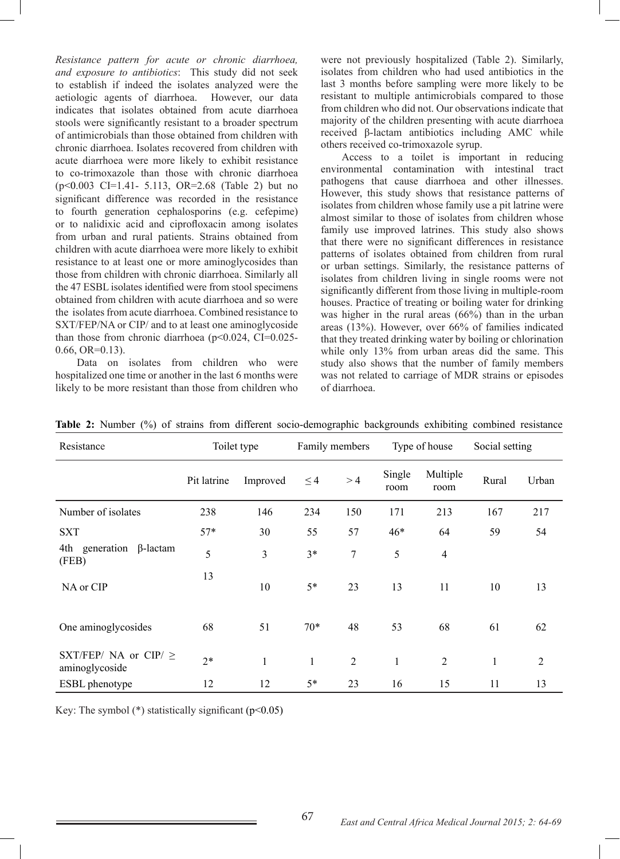*Resistance pattern for acute or chronic diarrhoea, and exposure to antibiotics*: This study did not seek to establish if indeed the isolates analyzed were the aetiologic agents of diarrhoea. However, our data indicates that isolates obtained from acute diarrhoea stools were significantly resistant to a broader spectrum of antimicrobials than those obtained from children with chronic diarrhoea. Isolates recovered from children with acute diarrhoea were more likely to exhibit resistance to co-trimoxazole than those with chronic diarrhoea (p<0.003 CI=1.41- 5.113, OR=2.68 (Table 2) but no significant difference was recorded in the resistance to fourth generation cephalosporins (e.g. cefepime) or to nalidixic acid and ciprofloxacin among isolates from urban and rural patients. Strains obtained from children with acute diarrhoea were more likely to exhibit resistance to at least one or more aminoglycosides than those from children with chronic diarrhoea. Similarly all the 47 ESBL isolates identified were from stool specimens obtained from children with acute diarrhoea and so were the isolates from acute diarrhoea. Combined resistance to SXT/FEP/NA or CIP/ and to at least one aminoglycoside than those from chronic diarrhoea (p<0.024, CI=0.025- 0.66, OR=0.13).

 Data on isolates from children who were hospitalized one time or another in the last 6 months were likely to be more resistant than those from children who

were not previously hospitalized (Table 2). Similarly, isolates from children who had used antibiotics in the last 3 months before sampling were more likely to be resistant to multiple antimicrobials compared to those from children who did not. Our observations indicate that majority of the children presenting with acute diarrhoea received β-lactam antibiotics including AMC while others received co-trimoxazole syrup.

 Access to a toilet is important in reducing environmental contamination with intestinal tract pathogens that cause diarrhoea and other illnesses. However, this study shows that resistance patterns of isolates from children whose family use a pit latrine were almost similar to those of isolates from children whose family use improved latrines. This study also shows that there were no significant differences in resistance patterns of isolates obtained from children from rural or urban settings. Similarly, the resistance patterns of isolates from children living in single rooms were not significantly different from those living in multiple-room houses. Practice of treating or boiling water for drinking was higher in the rural areas (66%) than in the urban areas (13%). However, over 66% of families indicated that they treated drinking water by boiling or chlorination while only 13% from urban areas did the same. This study also shows that the number of family members was not related to carriage of MDR strains or episodes of diarrhoea.

| Resistance                                  | Toilet type |              | Family members |                | Type of house  |                  | Social setting |                |
|---------------------------------------------|-------------|--------------|----------------|----------------|----------------|------------------|----------------|----------------|
|                                             | Pit latrine | Improved     | $\leq$ 4       | >4             | Single<br>room | Multiple<br>room | Rural          | Urban          |
| Number of isolates                          | 238         | 146          | 234            | 150            | 171            | 213              | 167            | 217            |
| <b>SXT</b>                                  | $57*$       | 30           | 55             | 57             | $46*$          | 64               | 59             | 54             |
| 4th generation<br>$\beta$ -lactam<br>(FEB)  | 5           | 3            | $3*$           | $\overline{7}$ | 5              | $\overline{4}$   |                |                |
| NA or CIP                                   | 13          | 10           | $5*$           | 23             | 13             | 11               | 10             | 13             |
| One aminoglycosides                         | 68          | 51           | $70*$          | 48             | 53             | 68               | 61             | 62             |
| SXT/FEP/ NA or CIP/ $\ge$<br>aminoglycoside | $2*$        | $\mathbf{1}$ | $\mathbf{1}$   | $\overline{2}$ | 1              | $\overline{2}$   | $\mathbf{1}$   | $\overline{2}$ |
| <b>ESBL</b> phenotype                       | 12          | 12           | $5*$           | 23             | 16             | 15               | 11             | 13             |

Table 2: Number (%) of strains from different socio-demographic backgrounds exhibiting combined resistance

Key: The symbol  $(*)$  statistically significant ( $p<0.05$ )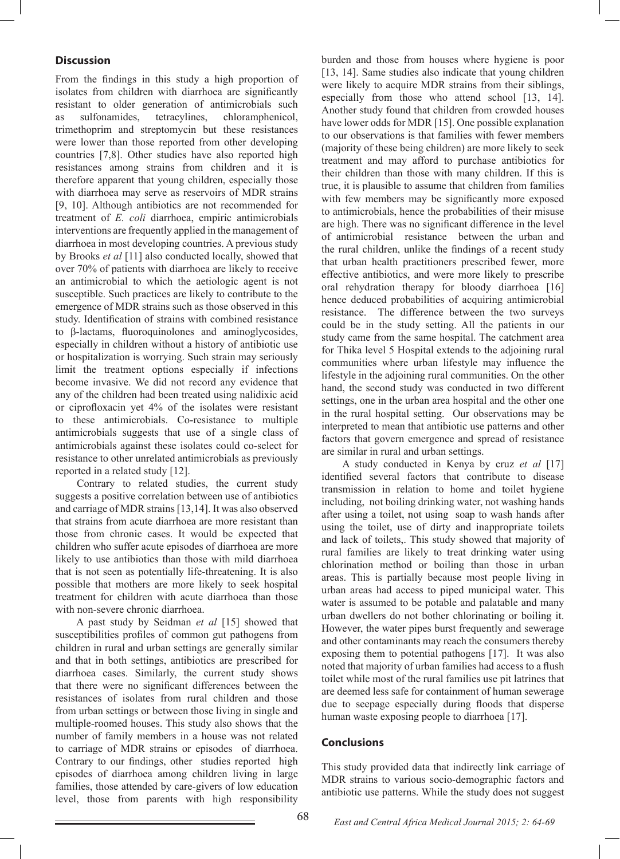## **Discussion**

From the findings in this study a high proportion of isolates from children with diarrhoea are significantly resistant to older generation of antimicrobials such as sulfonamides, tetracylines, chloramphenicol, trimethoprim and streptomycin but these resistances were lower than those reported from other developing countries [7,8]. Other studies have also reported high resistances among strains from children and it is therefore apparent that young children, especially those with diarrhoea may serve as reservoirs of MDR strains [9, 10]. Although antibiotics are not recommended for treatment of *E. coli* diarrhoea, empiric antimicrobials interventions are frequently applied in the management of diarrhoea in most developing countries. A previous study by Brooks *et al* [11] also conducted locally, showed that over 70% of patients with diarrhoea are likely to receive an antimicrobial to which the aetiologic agent is not susceptible. Such practices are likely to contribute to the emergence of MDR strains such as those observed in this study. Identification of strains with combined resistance to β-lactams, fluoroquinolones and aminoglycosides, especially in children without a history of antibiotic use or hospitalization is worrying. Such strain may seriously limit the treatment options especially if infections become invasive. We did not record any evidence that any of the children had been treated using nalidixic acid or ciprofloxacin yet 4% of the isolates were resistant to these antimicrobials. Co-resistance to multiple antimicrobials suggests that use of a single class of antimicrobials against these isolates could co-select for resistance to other unrelated antimicrobials as previously reported in a related study [12].

 Contrary to related studies, the current study suggests a positive correlation between use of antibiotics and carriage of MDR strains [13,14]. It was also observed that strains from acute diarrhoea are more resistant than those from chronic cases. It would be expected that children who suffer acute episodes of diarrhoea are more likely to use antibiotics than those with mild diarrhoea that is not seen as potentially life-threatening. It is also possible that mothers are more likely to seek hospital treatment for children with acute diarrhoea than those with non-severe chronic diarrhoea.

 A past study by Seidman *et al* [15] showed that susceptibilities profiles of common gut pathogens from children in rural and urban settings are generally similar and that in both settings, antibiotics are prescribed for diarrhoea cases. Similarly, the current study shows that there were no significant differences between the resistances of isolates from rural children and those from urban settings or between those living in single and multiple-roomed houses. This study also shows that the number of family members in a house was not related to carriage of MDR strains or episodes of diarrhoea. Contrary to our findings, other studies reported high episodes of diarrhoea among children living in large families, those attended by care-givers of low education level, those from parents with high responsibility

burden and those from houses where hygiene is poor [13, 14]. Same studies also indicate that young children were likely to acquire MDR strains from their siblings, especially from those who attend school [13, 14]. Another study found that children from crowded houses have lower odds for MDR [15]. One possible explanation to our observations is that families with fewer members (majority of these being children) are more likely to seek treatment and may afford to purchase antibiotics for their children than those with many children. If this is true, it is plausible to assume that children from families with few members may be significantly more exposed to antimicrobials, hence the probabilities of their misuse are high. There was no significant difference in the level of antimicrobial resistance between the urban and the rural children, unlike the findings of a recent study that urban health practitioners prescribed fewer, more effective antibiotics, and were more likely to prescribe oral rehydration therapy for bloody diarrhoea [16] hence deduced probabilities of acquiring antimicrobial resistance. The difference between the two surveys could be in the study setting. All the patients in our study came from the same hospital. The catchment area for Thika level 5 Hospital extends to the adjoining rural communities where urban lifestyle may influence the lifestyle in the adjoining rural communities. On the other hand, the second study was conducted in two different settings, one in the urban area hospital and the other one in the rural hospital setting. Our observations may be interpreted to mean that antibiotic use patterns and other factors that govern emergence and spread of resistance are similar in rural and urban settings.

 A study conducted in Kenya by cruz *et al* [17] identified several factors that contribute to disease transmission in relation to home and toilet hygiene including, not boiling drinking water, not washing hands after using a toilet, not using soap to wash hands after using the toilet, use of dirty and inappropriate toilets and lack of toilets,. This study showed that majority of rural families are likely to treat drinking water using chlorination method or boiling than those in urban areas. This is partially because most people living in urban areas had access to piped municipal water. This water is assumed to be potable and palatable and many urban dwellers do not bother chlorinating or boiling it. However, the water pipes burst frequently and sewerage and other contaminants may reach the consumers thereby exposing them to potential pathogens [17]. It was also noted that majority of urban families had access to a flush toilet while most of the rural families use pit latrines that are deemed less safe for containment of human sewerage due to seepage especially during floods that disperse human waste exposing people to diarrhoea [17].

### **Conclusions**

This study provided data that indirectly link carriage of MDR strains to various socio-demographic factors and antibiotic use patterns. While the study does not suggest